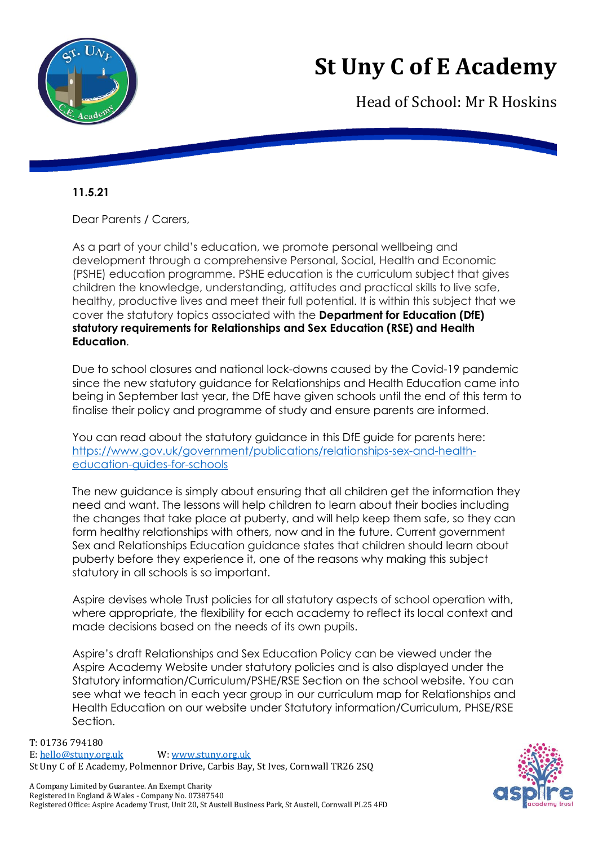

## **St Uny C of E Academy**

Head of School: Mr R Hoskins

## **11.5.21**

Dear Parents / Carers,

As a part of your child's education, we promote personal wellbeing and development through a comprehensive Personal, Social, Health and Economic (PSHE) education programme. PSHE education is the curriculum subject that gives children the knowledge, understanding, attitudes and practical skills to live safe, healthy, productive lives and meet their full potential. It is within this subject that we cover the statutory topics associated with the **Department for Education (DfE) statutory requirements for Relationships and Sex Education (RSE) and Health Education**.

Due to school closures and national lock-downs caused by the Covid-19 pandemic since the new statutory guidance for Relationships and Health Education came into being in September last year, the DfE have given schools until the end of this term to finalise their policy and programme of study and ensure parents are informed.

You can read about the statutory guidance in this DfE guide for parents here: [https://www.gov.uk/government/publications/relationships-sex-and-health](https://www.gov.uk/government/publications/relationships-sex-and-health-education-guides-for-schools)[education-guides-for-schools](https://www.gov.uk/government/publications/relationships-sex-and-health-education-guides-for-schools)

The new guidance is simply about ensuring that all children get the information they need and want. The lessons will help children to learn about their bodies including the changes that take place at puberty, and will help keep them safe, so they can form healthy relationships with others, now and in the future. Current government Sex and Relationships Education guidance states that children should learn about puberty before they experience it, one of the reasons why making this subject statutory in all schools is so important.

Aspire devises whole Trust policies for all statutory aspects of school operation with, where appropriate, the flexibility for each academy to reflect its local context and made decisions based on the needs of its own pupils.

Aspire's draft Relationships and Sex Education Policy can be viewed under the Aspire Academy Website under statutory policies and is also displayed under the Statutory information/Curriculum/PSHE/RSE Section on the school website. You can see what we teach in each year group in our curriculum map for Relationships and Health Education on our website under Statutory information/Curriculum, PHSE/RSE Section.

T: 01736 794180 E: [hello@stuny.org.uk](mailto:enquiries@stuny.org.uk) W: [www.stuny.org.uk](http://www.stuny.org.uk/)  St Uny C of E Academy, Polmennor Drive, Carbis Bay, St Ives, Cornwall TR26 2SQ